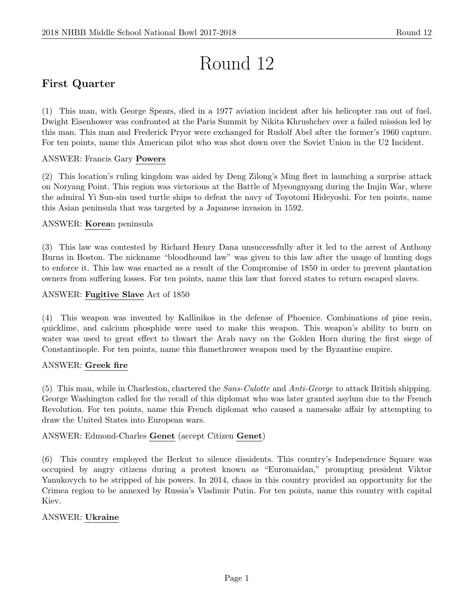# Round 12

# First Quarter

(1) This man, with George Spears, died in a 1977 aviation incident after his helicopter ran out of fuel. Dwight Eisenhower was confronted at the Paris Summit by Nikita Khrushchev over a failed mission led by this man. This man and Frederick Pryor were exchanged for Rudolf Abel after the former's 1960 capture. For ten points, name this American pilot who was shot down over the Soviet Union in the U2 Incident.

#### ANSWER: Francis Gary Powers

(2) This location's ruling kingdom was aided by Deng Zilong's Ming fleet in launching a surprise attack on Noryang Point. This region was victorious at the Battle of Myeongnyang during the Imjin War, where the admiral Yi Sun-sin used turtle ships to defeat the navy of Toyotomi Hideyoshi. For ten points, name this Asian peninsula that was targeted by a Japanese invasion in 1592.

#### ANSWER: Korean peninsula

(3) This law was contested by Richard Henry Dana unsuccessfully after it led to the arrest of Anthony Burns in Boston. The nickname "bloodhound law" was given to this law after the usage of hunting dogs to enforce it. This law was enacted as a result of the Compromise of 1850 in order to prevent plantation owners from suffering losses. For ten points, name this law that forced states to return escaped slaves.

#### ANSWER: Fugitive Slave Act of 1850

(4) This weapon was invented by Kallinikos in the defense of Phoenice. Combinations of pine resin, quicklime, and calcium phosphide were used to make this weapon. This weapon's ability to burn on water was used to great effect to thwart the Arab navy on the Golden Horn during the first siege of Constantinople. For ten points, name this flamethrower weapon used by the Byzantine empire.

#### ANSWER: Greek fire

(5) This man, while in Charleston, chartered the Sans-Culotte and Anti-George to attack British shipping. George Washington called for the recall of this diplomat who was later granted asylum due to the French Revolution. For ten points, name this French diplomat who caused a namesake affair by attempting to draw the United States into European wars.

#### ANSWER: Edmond-Charles Genet (accept Citizen Genet)

(6) This country employed the Berkut to silence dissidents. This country's Independence Square was occupied by angry citizens during a protest known as "Euromaidan," prompting president Viktor Yanukovych to be stripped of his powers. In 2014, chaos in this country provided an opportunity for the Crimea region to be annexed by Russia's Vladimir Putin. For ten points, name this country with capital Kiev.

#### ANSWER: Ukraine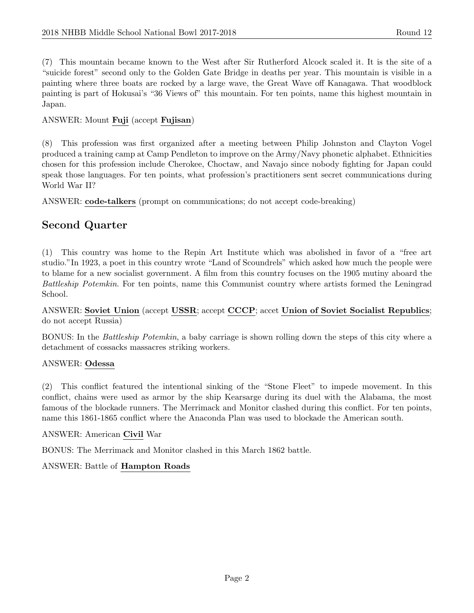(7) This mountain became known to the West after Sir Rutherford Alcock scaled it. It is the site of a "suicide forest" second only to the Golden Gate Bridge in deaths per year. This mountain is visible in a painting where three boats are rocked by a large wave, the Great Wave off Kanagawa. That woodblock painting is part of Hokusai's "36 Views of" this mountain. For ten points, name this highest mountain in Japan.

#### ANSWER: Mount Fuji (accept Fujisan)

(8) This profession was first organized after a meeting between Philip Johnston and Clayton Vogel produced a training camp at Camp Pendleton to improve on the Army/Navy phonetic alphabet. Ethnicities chosen for this profession include Cherokee, Choctaw, and Navajo since nobody fighting for Japan could speak those languages. For ten points, what profession's practitioners sent secret communications during World War II?

ANSWER: code-talkers (prompt on communications; do not accept code-breaking)

# Second Quarter

(1) This country was home to the Repin Art Institute which was abolished in favor of a "free art studio."In 1923, a poet in this country wrote "Land of Scoundrels" which asked how much the people were to blame for a new socialist government. A film from this country focuses on the 1905 mutiny aboard the Battleship Potemkin. For ten points, name this Communist country where artists formed the Leningrad School.

#### ANSWER: Soviet Union (accept USSR; accept CCCP; accet Union of Soviet Socialist Republics; do not accept Russia)

BONUS: In the Battleship Potemkin, a baby carriage is shown rolling down the steps of this city where a detachment of cossacks massacres striking workers.

#### ANSWER: Odessa

(2) This conflict featured the intentional sinking of the "Stone Fleet" to impede movement. In this conflict, chains were used as armor by the ship Kearsarge during its duel with the Alabama, the most famous of the blockade runners. The Merrimack and Monitor clashed during this conflict. For ten points, name this 1861-1865 conflict where the Anaconda Plan was used to blockade the American south.

#### ANSWER: American Civil War

BONUS: The Merrimack and Monitor clashed in this March 1862 battle.

# ANSWER: Battle of Hampton Roads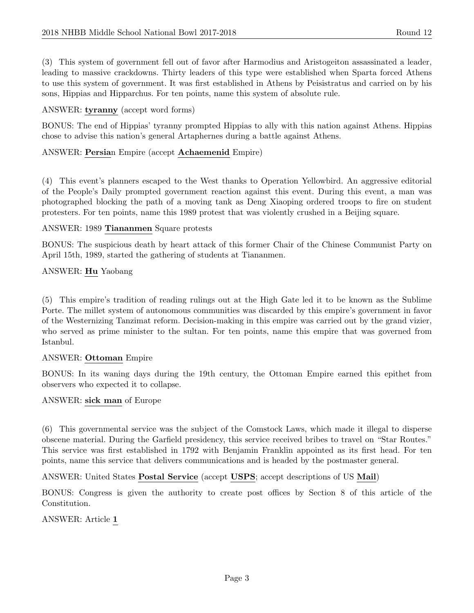(3) This system of government fell out of favor after Harmodius and Aristogeiton assassinated a leader, leading to massive crackdowns. Thirty leaders of this type were established when Sparta forced Athens to use this system of government. It was first established in Athens by Peisistratus and carried on by his sons, Hippias and Hipparchus. For ten points, name this system of absolute rule.

#### ANSWER: tyranny (accept word forms)

BONUS: The end of Hippias' tyranny prompted Hippias to ally with this nation against Athens. Hippias chose to advise this nation's general Artaphernes during a battle against Athens.

#### ANSWER: Persian Empire (accept Achaemenid Empire)

(4) This event's planners escaped to the West thanks to Operation Yellowbird. An aggressive editorial of the People's Daily prompted government reaction against this event. During this event, a man was photographed blocking the path of a moving tank as Deng Xiaoping ordered troops to fire on student protesters. For ten points, name this 1989 protest that was violently crushed in a Beijing square.

#### ANSWER: 1989 Tiananmen Square protests

BONUS: The suspicious death by heart attack of this former Chair of the Chinese Communist Party on April 15th, 1989, started the gathering of students at Tiananmen.

#### ANSWER: Hu Yaobang

(5) This empire's tradition of reading rulings out at the High Gate led it to be known as the Sublime Porte. The millet system of autonomous communities was discarded by this empire's government in favor of the Westernizing Tanzimat reform. Decision-making in this empire was carried out by the grand vizier, who served as prime minister to the sultan. For ten points, name this empire that was governed from Istanbul.

#### ANSWER: Ottoman Empire

BONUS: In its waning days during the 19th century, the Ottoman Empire earned this epithet from observers who expected it to collapse.

#### ANSWER: sick man of Europe

(6) This governmental service was the subject of the Comstock Laws, which made it illegal to disperse obscene material. During the Garfield presidency, this service received bribes to travel on "Star Routes." This service was first established in 1792 with Benjamin Franklin appointed as its first head. For ten points, name this service that delivers communications and is headed by the postmaster general.

ANSWER: United States Postal Service (accept USPS; accept descriptions of US Mail)

BONUS: Congress is given the authority to create post offices by Section 8 of this article of the Constitution.

ANSWER: Article 1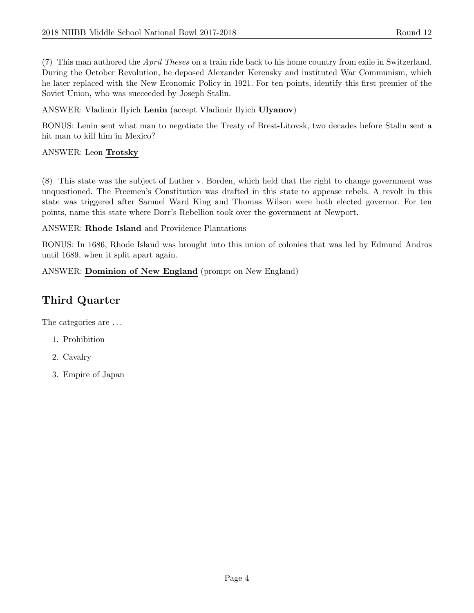(7) This man authored the *April Theses* on a train ride back to his home country from exile in Switzerland. During the October Revolution, he deposed Alexander Kerensky and instituted War Communism, which he later replaced with the New Economic Policy in 1921. For ten points, identify this first premier of the Soviet Union, who was succeeded by Joseph Stalin.

ANSWER: Vladimir Ilyich Lenin (accept Vladimir Ilyich Ulyanov)

BONUS: Lenin sent what man to negotiate the Treaty of Brest-Litovsk, two decades before Stalin sent a hit man to kill him in Mexico?

#### ANSWER: Leon Trotsky

(8) This state was the subject of Luther v. Borden, which held that the right to change government was unquestioned. The Freemen's Constitution was drafted in this state to appease rebels. A revolt in this state was triggered after Samuel Ward King and Thomas Wilson were both elected governor. For ten points, name this state where Dorr's Rebellion took over the government at Newport.

ANSWER: Rhode Island and Providence Plantations

BONUS: In 1686, Rhode Island was brought into this union of colonies that was led by Edmund Andros until 1689, when it split apart again.

ANSWER: Dominion of New England (prompt on New England)

# Third Quarter

The categories are . . .

- 1. Prohibition
- 2. Cavalry
- 3. Empire of Japan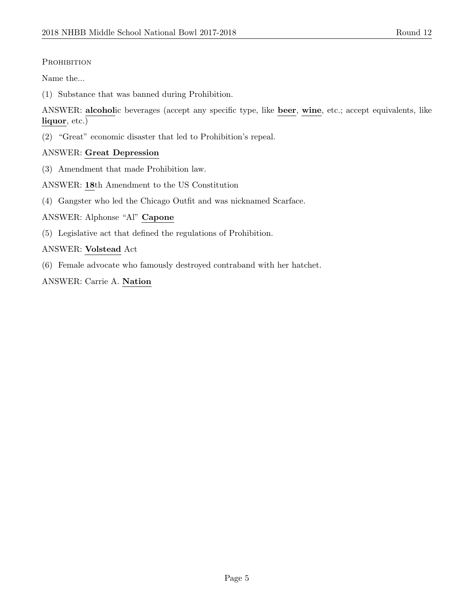# PROHIBITION

Name the...

(1) Substance that was banned during Prohibition.

ANSWER: alcoholic beverages (accept any specific type, like beer, wine, etc.; accept equivalents, like liquor, etc.)

(2) "Great" economic disaster that led to Prohibition's repeal.

# ANSWER: Great Depression

(3) Amendment that made Prohibition law.

ANSWER: 18th Amendment to the US Constitution

(4) Gangster who led the Chicago Outfit and was nicknamed Scarface.

ANSWER: Alphonse "Al" Capone

(5) Legislative act that defined the regulations of Prohibition.

#### ANSWER: Volstead Act

(6) Female advocate who famously destroyed contraband with her hatchet.

ANSWER: Carrie A. Nation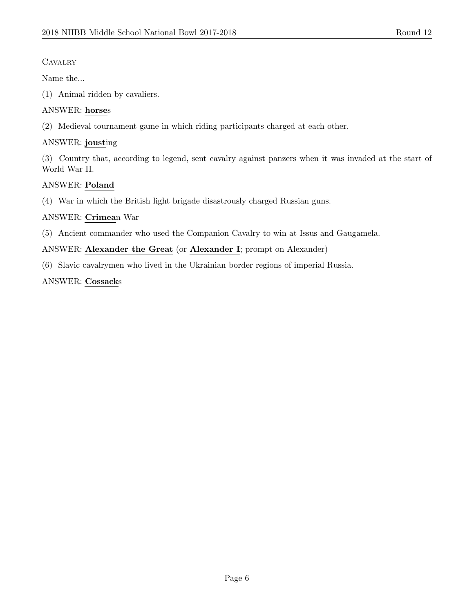# **CAVALRY**

Name the...

(1) Animal ridden by cavaliers.

# ANSWER: horses

(2) Medieval tournament game in which riding participants charged at each other.

# ANSWER: jousting

(3) Country that, according to legend, sent cavalry against panzers when it was invaded at the start of World War II.

# ANSWER: Poland

(4) War in which the British light brigade disastrously charged Russian guns.

#### ANSWER: Crimean War

(5) Ancient commander who used the Companion Cavalry to win at Issus and Gaugamela.

# ANSWER: Alexander the Great (or Alexander I; prompt on Alexander)

(6) Slavic cavalrymen who lived in the Ukrainian border regions of imperial Russia.

#### ANSWER: Cossacks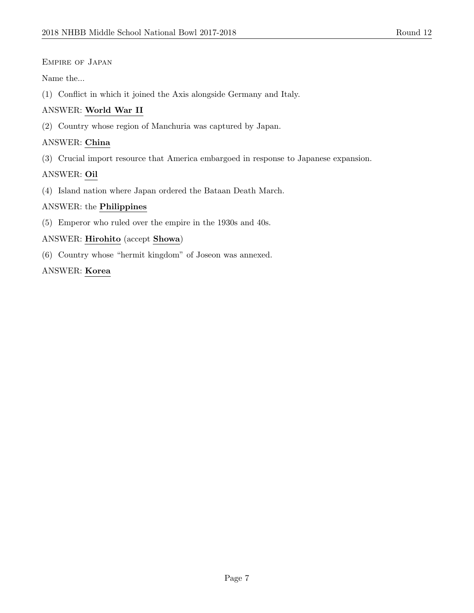#### Empire of Japan

Name the...

(1) Conflict in which it joined the Axis alongside Germany and Italy.

# ANSWER: World War II

(2) Country whose region of Manchuria was captured by Japan.

#### ANSWER: China

(3) Crucial import resource that America embargoed in response to Japanese expansion.

# ANSWER: Oil

(4) Island nation where Japan ordered the Bataan Death March.

#### ANSWER: the Philippines

(5) Emperor who ruled over the empire in the 1930s and 40s.

#### ANSWER: Hirohito (accept Showa)

(6) Country whose "hermit kingdom" of Joseon was annexed.

#### ANSWER: Korea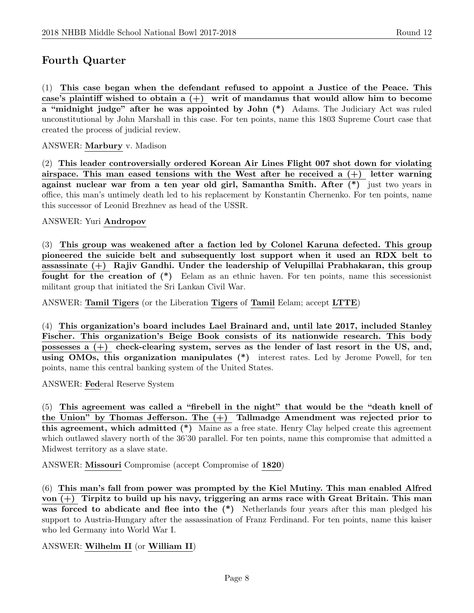# Fourth Quarter

(1) This case began when the defendant refused to appoint a Justice of the Peace. This case's plaintiff wished to obtain a  $(+)$  writ of mandamus that would allow him to become a "midnight judge" after he was appointed by John (\*) Adams. The Judiciary Act was ruled unconstitutional by John Marshall in this case. For ten points, name this 1803 Supreme Court case that created the process of judicial review.

ANSWER: Marbury v. Madison

(2) This leader controversially ordered Korean Air Lines Flight 007 shot down for violating airspace. This man eased tensions with the West after he received a  $(+)$  letter warning against nuclear war from a ten year old girl, Samantha Smith. After (\*) just two years in office, this man's untimely death led to his replacement by Konstantin Chernenko. For ten points, name this successor of Leonid Brezhnev as head of the USSR.

ANSWER: Yuri Andropov

(3) This group was weakened after a faction led by Colonel Karuna defected. This group pioneered the suicide belt and subsequently lost support when it used an RDX belt to assassinate (+) Rajiv Gandhi. Under the leadership of Velupillai Prabhakaran, this group fought for the creation of (\*) Eelam as an ethnic haven. For ten points, name this secessionist militant group that initiated the Sri Lankan Civil War.

ANSWER: Tamil Tigers (or the Liberation Tigers of Tamil Eelam; accept LTTE)

(4) This organization's board includes Lael Brainard and, until late 2017, included Stanley Fischer. This organization's Beige Book consists of its nationwide research. This body possesses a (+) check-clearing system, serves as the lender of last resort in the US, and, using OMOs, this organization manipulates (\*) interest rates. Led by Jerome Powell, for ten points, name this central banking system of the United States.

ANSWER: Federal Reserve System

(5) This agreement was called a "firebell in the night" that would be the "death knell of the Union" by Thomas Jefferson. The (+) Tallmadge Amendment was rejected prior to this agreement, which admitted (\*) Maine as a free state. Henry Clay helped create this agreement which outlawed slavery north of the 36'30 parallel. For ten points, name this compromise that admitted a Midwest territory as a slave state.

ANSWER: Missouri Compromise (accept Compromise of 1820)

(6) This man's fall from power was prompted by the Kiel Mutiny. This man enabled Alfred von  $(+)$  Tirpitz to build up his navy, triggering an arms race with Great Britain. This man was forced to abdicate and flee into the  $(*)$  Netherlands four years after this man pledged his support to Austria-Hungary after the assassination of Franz Ferdinand. For ten points, name this kaiser who led Germany into World War I.

ANSWER: Wilhelm II (or William II)